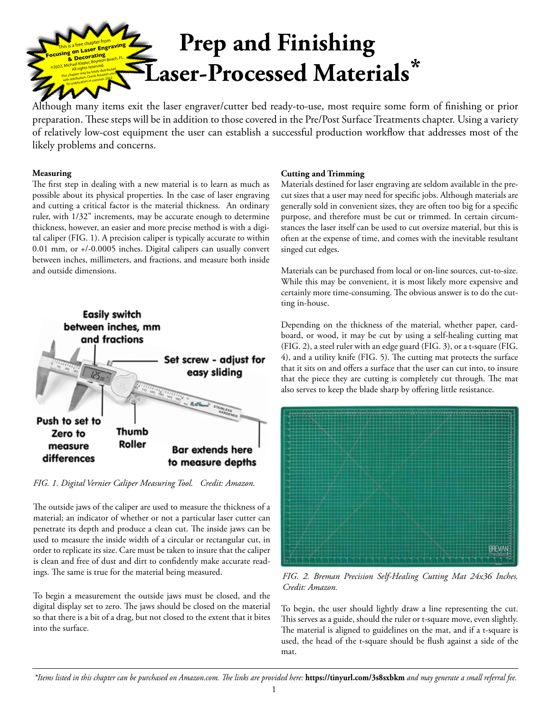

Although many items exit the laser engraver/cutter bed ready-to-use, most require some form of finishing or prior preparation. These steps will be in addition to those covered in the Pre/Post Surface Treatments chapter. Using a variety of relatively low-cost equipment the user can establish a successful production workflow that addresses most of the likely problems and concerns.

## **Measuring**

The first step in dealing with a new material is to learn as much as possible about its physical properties. In the case of laser engraving and cutting a critical factor is the material thickness. An ordinary ruler, with 1/32" increments, may be accurate enough to determine thickness, however, an easier and more precise method is with a digital caliper (FIG. 1). A precision caliper is typically accurate to within 0.01 mm, or +/-0.0005 inches. Digital calipers can usually convert between inches, millimeters, and fractions, and measure both inside and outside dimensions.



*FIG. 1. Digital Vernier Caliper Measuring Tool. Credit: Amazon.* 

The outside jaws of the caliper are used to measure the thickness of a material; an indicator of whether or not a particular laser cutter can penetrate its depth and produce a clean cut. The inside jaws can be used to measure the inside width of a circular or rectangular cut, in order to replicate its size. Care must be taken to insure that the caliper is clean and free of dust and dirt to confidently make accurate readings. The same is true for the material being measured.

To begin a measurement the outside jaws must be closed, and the digital display set to zero. The jaws should be closed on the material so that there is a bit of a drag, but not closed to the extent that it bites into the surface.

# **Cutting and Trimming**

Materials destined for laser engraving are seldom available in the precut sizes that a user may need for specific jobs. Although materials are generally sold in convenient sizes, they are often too big for a specific purpose, and therefore must be cut or trimmed. In certain circumstances the laser itself can be used to cut oversize material, but this is often at the expense of time, and comes with the inevitable resultant singed cut edges.

Materials can be purchased from local or on-line sources, cut-to-size. While this may be convenient, it is most likely more expensive and certainly more time-consuming. The obvious answer is to do the cutting in-house.

Depending on the thickness of the material, whether paper, cardboard, or wood, it may be cut by using a self-healing cutting mat (FIG. 2), a steel ruler with an edge guard (FIG. 3), or a t-square (FIG. 4), and a utility knife (FIG. 5). The cutting mat protects the surface that it sits on and offers a surface that the user can cut into, to insure that the piece they are cutting is completely cut through. The mat also serves to keep the blade sharp by offering little resistance.



*FIG. 2. Breman Precision Self-Healing Cutting Mat 24x36 Inches. Credit: Amazon.*

To begin, the user should lightly draw a line representing the cut. This serves as a guide, should the ruler or t-square move, even slightly. The material is aligned to guidelines on the mat, and if a t-square is used, the head of the t-square should be flush against a side of the mat.

*\*Items listed in this chapter can be purchased on Amazon.com. The links are provided here:* **https://tinyurl.com/3s8sxbkm** *and may generate a small referral fee.*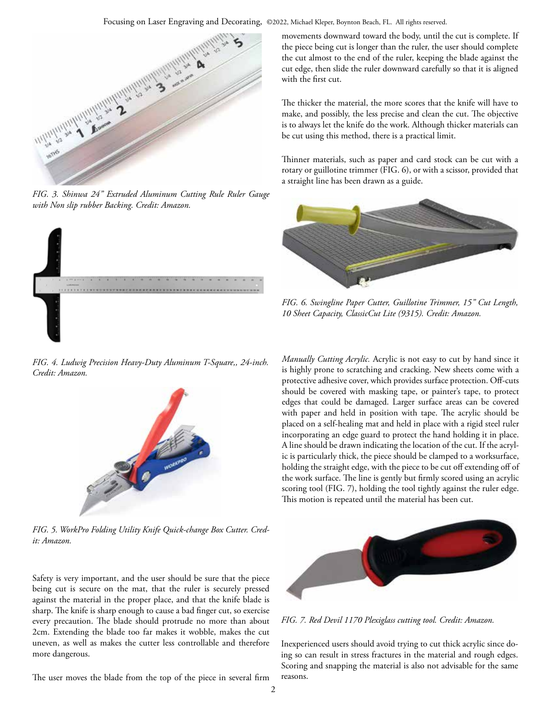Focusing on Laser Engraving and Decorating, ©2022, Michael Kleper, Boynton Beach, FL. All rights reserved.



*FIG. 3. Shinwa 24" Extruded Aluminum Cutting Rule Ruler Gauge with Non slip rubber Backing. Credit: Amazon.*



*FIG. 4. Ludwig Precision Heavy-Duty Aluminum T-Square,, 24-inch. Credit: Amazon.*



*FIG. 5. WorkPro Folding Utility Knife Quick-change Box Cutter. Credit: Amazon.* 

Safety is very important, and the user should be sure that the piece being cut is secure on the mat, that the ruler is securely pressed against the material in the proper place, and that the knife blade is sharp. The knife is sharp enough to cause a bad finger cut, so exercise every precaution. The blade should protrude no more than about 2cm. Extending the blade too far makes it wobble, makes the cut uneven, as well as makes the cutter less controllable and therefore more dangerous.

The user moves the blade from the top of the piece in several firm

movements downward toward the body, until the cut is complete. If the piece being cut is longer than the ruler, the user should complete the cut almost to the end of the ruler, keeping the blade against the cut edge, then slide the ruler downward carefully so that it is aligned with the first cut.

The thicker the material, the more scores that the knife will have to make, and possibly, the less precise and clean the cut. The objective is to always let the knife do the work. Although thicker materials can be cut using this method, there is a practical limit.

Thinner materials, such as paper and card stock can be cut with a rotary or guillotine trimmer (FIG. 6), or with a scissor, provided that a straight line has been drawn as a guide.



*FIG. 6. Swingline Paper Cutter, Guillotine Trimmer, 15" Cut Length, 10 Sheet Capacity, ClassicCut Lite (9315). Credit: Amazon.*

*Manually Cutting Acrylic.* Acrylic is not easy to cut by hand since it is highly prone to scratching and cracking. New sheets come with a protective adhesive cover, which provides surface protection. Off-cuts should be covered with masking tape, or painter's tape, to protect edges that could be damaged. Larger surface areas can be covered with paper and held in position with tape. The acrylic should be placed on a self-healing mat and held in place with a rigid steel ruler incorporating an edge guard to protect the hand holding it in place. A line should be drawn indicating the location of the cut. If the acrylic is particularly thick, the piece should be clamped to a worksurface, holding the straight edge, with the piece to be cut off extending off of the work surface. The line is gently but firmly scored using an acrylic scoring tool (FIG. 7), holding the tool tightly against the ruler edge. This motion is repeated until the material has been cut.



*FIG. 7. Red Devil 1170 Plexiglass cutting tool. Credit: Amazon.*

Inexperienced users should avoid trying to cut thick acrylic since doing so can result in stress fractures in the material and rough edges. Scoring and snapping the material is also not advisable for the same reasons.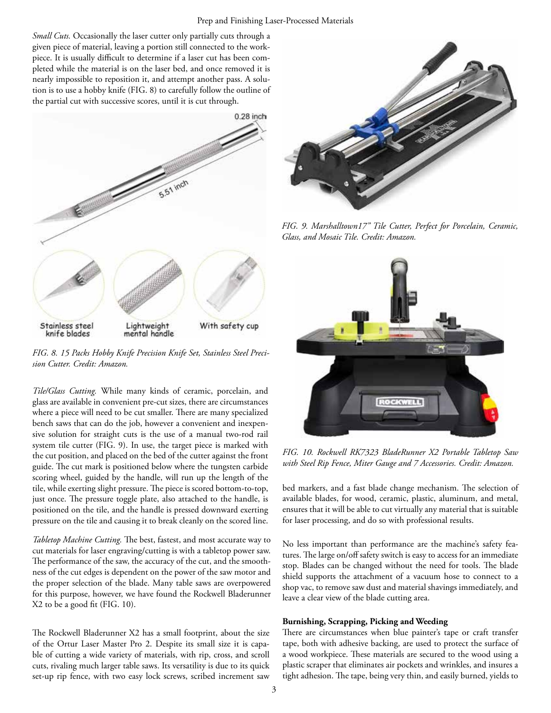*Small Cuts.* Occasionally the laser cutter only partially cuts through a given piece of material, leaving a portion still connected to the workpiece. It is usually difficult to determine if a laser cut has been completed while the material is on the laser bed, and once removed it is nearly impossible to reposition it, and attempt another pass. A solution is to use a hobby knife (FIG. 8) to carefully follow the outline of the partial cut with successive scores, until it is cut through.



*FIG. 8. 15 Packs Hobby Knife Precision Knife Set, Stainless Steel Precision Cutter. Credit: Amazon.*

*Tile/Glass Cutting.* While many kinds of ceramic, porcelain, and glass are available in convenient pre-cut sizes, there are circumstances where a piece will need to be cut smaller. There are many specialized bench saws that can do the job, however a convenient and inexpensive solution for straight cuts is the use of a manual two-rod rail system tile cutter (FIG. 9). In use, the target piece is marked with the cut position, and placed on the bed of the cutter against the front guide. The cut mark is positioned below where the tungsten carbide scoring wheel, guided by the handle, will run up the length of the tile, while exerting slight pressure. The piece is scored bottom-to-top, just once. The pressure toggle plate, also attached to the handle, is positioned on the tile, and the handle is pressed downward exerting pressure on the tile and causing it to break cleanly on the scored line.

*Tabletop Machine Cutting.* The best, fastest, and most accurate way to cut materials for laser engraving/cutting is with a tabletop power saw. The performance of the saw, the accuracy of the cut, and the smoothness of the cut edges is dependent on the power of the saw motor and the proper selection of the blade. Many table saws are overpowered for this purpose, however, we have found the Rockwell Bladerunner X2 to be a good fit (FIG. 10).

The Rockwell Bladerunner X2 has a small footprint, about the size of the Ortur Laser Master Pro 2. Despite its small size it is capable of cutting a wide variety of materials, with rip, cross, and scroll cuts, rivaling much larger table saws. Its versatility is due to its quick set-up rip fence, with two easy lock screws, scribed increment saw



*FIG. 9. Marshalltown17" Tile Cutter, Perfect for Porcelain, Ceramic, Glass, and Mosaic Tile. Credit: Amazon.*



*FIG. 10. Rockwell RK7323 BladeRunner X2 Portable Tabletop Saw with Steel Rip Fence, Miter Gauge and 7 Accessories. Credit: Amazon.*

bed markers, and a fast blade change mechanism. The selection of available blades, for wood, ceramic, plastic, aluminum, and metal, ensures that it will be able to cut virtually any material that is suitable for laser processing, and do so with professional results.

No less important than performance are the machine's safety features. The large on/off safety switch is easy to access for an immediate stop. Blades can be changed without the need for tools. The blade shield supports the attachment of a vacuum hose to connect to a shop vac, to remove saw dust and material shavings immediately, and leave a clear view of the blade cutting area.

## **Burnishing, Scrapping, Picking and Weeding**

There are circumstances when blue painter's tape or craft transfer tape, both with adhesive backing, are used to protect the surface of a wood workpiece. These materials are secured to the wood using a plastic scraper that eliminates air pockets and wrinkles, and insures a tight adhesion. The tape, being very thin, and easily burned, yields to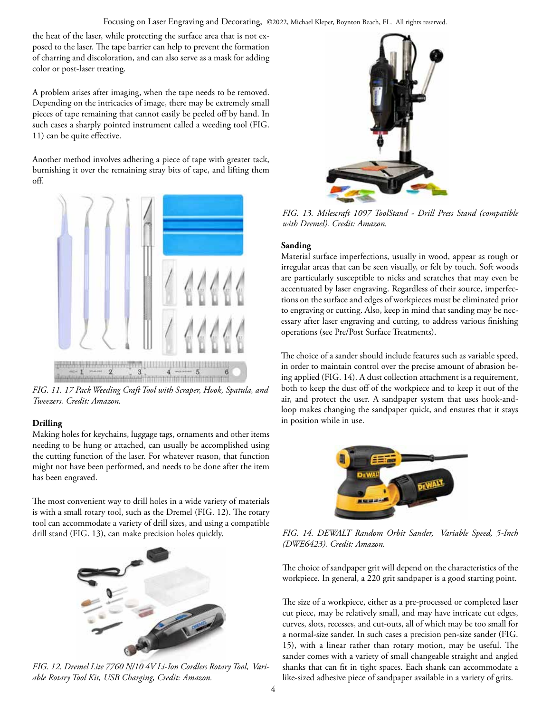the heat of the laser, while protecting the surface area that is not exposed to the laser. The tape barrier can help to prevent the formation of charring and discoloration, and can also serve as a mask for adding color or post-laser treating.

A problem arises after imaging, when the tape needs to be removed. Depending on the intricacies of image, there may be extremely small pieces of tape remaining that cannot easily be peeled off by hand. In such cases a sharply pointed instrument called a weeding tool (FIG. 11) can be quite effective.

Another method involves adhering a piece of tape with greater tack, burnishing it over the remaining stray bits of tape, and lifting them off.



*FIG. 11. 17 Pack Weeding Craft Tool with Scraper, Hook, Spatula, and Tweezers. Credit: Amazon.*

# **Drilling**

Making holes for keychains, luggage tags, ornaments and other items needing to be hung or attached, can usually be accomplished using the cutting function of the laser. For whatever reason, that function might not have been performed, and needs to be done after the item has been engraved.

The most convenient way to drill holes in a wide variety of materials is with a small rotary tool, such as the Dremel (FIG. 12). The rotary tool can accommodate a variety of drill sizes, and using a compatible drill stand (FIG. 13), can make precision holes quickly.



*FIG. 12. Dremel Lite 7760 N/10 4V Li-Ion Cordless Rotary Tool, Variable Rotary Tool Kit, USB Charging, Credit: Amazon.*



*FIG. 13. Milescraft 1097 ToolStand - Drill Press Stand (compatible with Dremel). Credit: Amazon.*

# **Sanding**

Material surface imperfections, usually in wood, appear as rough or irregular areas that can be seen visually, or felt by touch. Soft woods are particularly susceptible to nicks and scratches that may even be accentuated by laser engraving. Regardless of their source, imperfections on the surface and edges of workpieces must be eliminated prior to engraving or cutting. Also, keep in mind that sanding may be necessary after laser engraving and cutting, to address various finishing operations (see Pre/Post Surface Treatments).

The choice of a sander should include features such as variable speed, in order to maintain control over the precise amount of abrasion being applied (FIG. 14). A dust collection attachment is a requirement, both to keep the dust off of the workpiece and to keep it out of the air, and protect the user. A sandpaper system that uses hook-andloop makes changing the sandpaper quick, and ensures that it stays in position while in use.



*FIG. 14. DEWALT Random Orbit Sander, Variable Speed, 5-Inch (DWE6423). Credit: Amazon.*

The choice of sandpaper grit will depend on the characteristics of the workpiece. In general, a 220 grit sandpaper is a good starting point.

The size of a workpiece, either as a pre-processed or completed laser cut piece, may be relatively small, and may have intricate cut edges, curves, slots, recesses, and cut-outs, all of which may be too small for a normal-size sander. In such cases a precision pen-size sander (FIG. 15), with a linear rather than rotary motion, may be useful. The sander comes with a variety of small changeable straight and angled shanks that can fit in tight spaces. Each shank can accommodate a like-sized adhesive piece of sandpaper available in a variety of grits.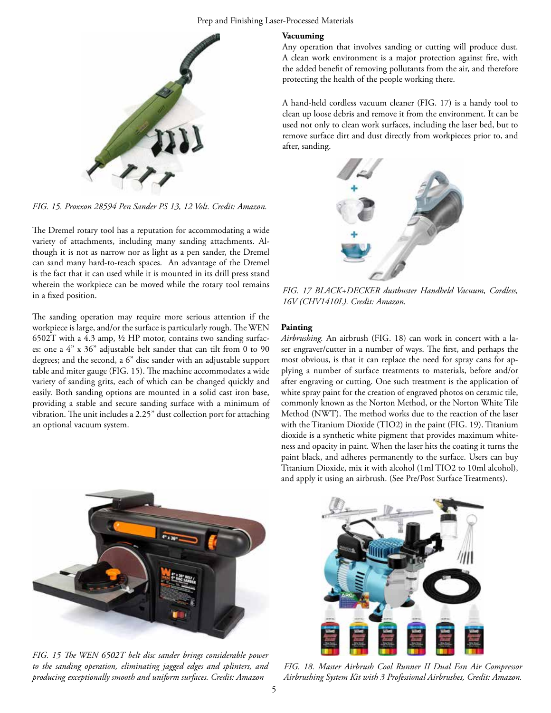#### Prep and Finishing Laser-Processed Materials



*FIG. 15. Proxxon 28594 Pen Sander PS 13, 12 Volt. Credit: Amazon.*

The Dremel rotary tool has a reputation for accommodating a wide variety of attachments, including many sanding attachments. Although it is not as narrow nor as light as a pen sander, the Dremel can sand many hard-to-reach spaces. An advantage of the Dremel is the fact that it can used while it is mounted in its drill press stand wherein the workpiece can be moved while the rotary tool remains in a fixed position.

The sanding operation may require more serious attention if the workpiece is large, and/or the surface is particularly rough. The WEN 6502T with a 4.3 amp, ½ HP motor, contains two sanding surfaces: one a 4" x 36" adjustable belt sander that can tilt from 0 to 90 degrees; and the second, a 6" disc sander with an adjustable support table and miter gauge (FIG. 15). The machine accommodates a wide variety of sanding grits, each of which can be changed quickly and easily. Both sanding options are mounted in a solid cast iron base, providing a stable and secure sanding surface with a minimum of vibration. The unit includes a 2.25" dust collection port for attaching an optional vacuum system.

### **Vacuuming**

Any operation that involves sanding or cutting will produce dust. A clean work environment is a major protection against fire, with the added benefit of removing pollutants from the air, and therefore protecting the health of the people working there.

A hand-held cordless vacuum cleaner (FIG. 17) is a handy tool to clean up loose debris and remove it from the environment. It can be used not only to clean work surfaces, including the laser bed, but to remove surface dirt and dust directly from workpieces prior to, and after, sanding.



*FIG. 17 BLACK+DECKER dustbuster Handheld Vacuum, Cordless, 16V (CHV1410L). Credit: Amazon.*

### **Painting**

*Airbrushing.* An airbrush (FIG. 18) can work in concert with a laser engraver/cutter in a number of ways. The first, and perhaps the most obvious, is that it can replace the need for spray cans for applying a number of surface treatments to materials, before and/or after engraving or cutting. One such treatment is the application of white spray paint for the creation of engraved photos on ceramic tile, commonly known as the Norton Method, or the Norton White Tile Method (NWT). The method works due to the reaction of the laser with the Titanium Dioxide (TIO2) in the paint (FIG. 19). Titanium dioxide is a synthetic white pigment that provides maximum whiteness and opacity in paint. When the laser hits the coating it turns the paint black, and adheres permanently to the surface. Users can buy Titanium Dioxide, mix it with alcohol (1ml TIO2 to 10ml alcohol), and apply it using an airbrush. (See Pre/Post Surface Treatments).



*FIG. 15 The WEN 6502T belt disc sander brings considerable power to the sanding operation, eliminating jagged edges and splinters, and producing exceptionally smooth and uniform surfaces. Credit: Amazon*



*FIG. 18. Master Airbrush Cool Runner II Dual Fan Air Compressor Airbrushing System Kit with 3 Professional Airbrushes, Credit: Amazon.*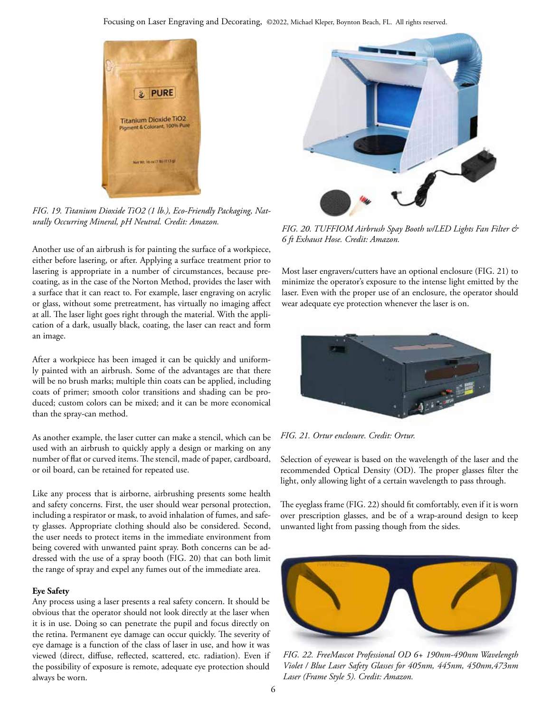

*FIG. 19. Titanium Dioxide TiO2 (1 lb.), Eco-Friendly Packaging, Naturally Occurring Mineral, pH Neutral. Credit: Amazon. FIG. 20. TUFFIOM Airbrush Spay Booth w/LED Lights Fan Filter &* 

Another use of an airbrush is for painting the surface of a workpiece, either before lasering, or after. Applying a surface treatment prior to lasering is appropriate in a number of circumstances, because precoating, as in the case of the Norton Method, provides the laser with a surface that it can react to. For example, laser engraving on acrylic or glass, without some pretreatment, has virtually no imaging affect at all. The laser light goes right through the material. With the application of a dark, usually black, coating, the laser can react and form an image.

After a workpiece has been imaged it can be quickly and uniformly painted with an airbrush. Some of the advantages are that there will be no brush marks; multiple thin coats can be applied, including coats of primer; smooth color transitions and shading can be produced; custom colors can be mixed; and it can be more economical than the spray-can method.

As another example, the laser cutter can make a stencil, which can be used with an airbrush to quickly apply a design or marking on any number of flat or curved items. The stencil, made of paper, cardboard, or oil board, can be retained for repeated use.

Like any process that is airborne, airbrushing presents some health and safety concerns. First, the user should wear personal protection, including a respirator or mask, to avoid inhalation of fumes, and safety glasses. Appropriate clothing should also be considered. Second, the user needs to protect items in the immediate environment from being covered with unwanted paint spray. Both concerns can be addressed with the use of a spray booth (FIG. 20) that can both limit the range of spray and expel any fumes out of the immediate area.

## **Eye Safety**

Any process using a laser presents a real safety concern. It should be obvious that the operator should not look directly at the laser when it is in use. Doing so can penetrate the pupil and focus directly on the retina. Permanent eye damage can occur quickly. The severity of eye damage is a function of the class of laser in use, and how it was viewed (direct, diffuse, reflected, scattered, etc. radiation). Even if the possibility of exposure is remote, adequate eye protection should always be worn.



*6 ft Exhaust Hose. Credit: Amazon.*

Most laser engravers/cutters have an optional enclosure (FIG. 21) to minimize the operator's exposure to the intense light emitted by the laser. Even with the proper use of an enclosure, the operator should wear adequate eye protection whenever the laser is on.



*FIG. 21. Ortur enclosure. Credit: Ortur.*

Selection of eyewear is based on the wavelength of the laser and the recommended Optical Density (OD). The proper glasses filter the light, only allowing light of a certain wavelength to pass through.

The eyeglass frame (FIG. 22) should fit comfortably, even if it is worn over prescription glasses, and be of a wrap-around design to keep unwanted light from passing though from the sides.



*FIG. 22. FreeMascot Professional OD 6+ 190nm-490nm Wavelength Violet / Blue Laser Safety Glasses for 405nm, 445nm, 450nm,473nm Laser (Frame Style 5). Credit: Amazon.*